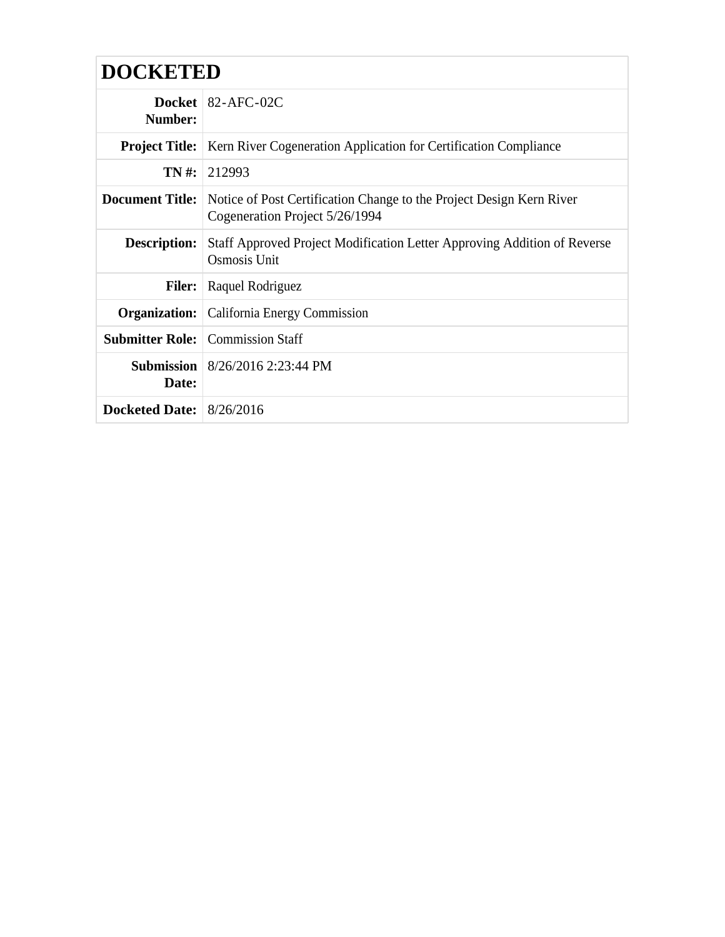| <b>DOCKETED</b>            |                                                                                                        |  |  |  |
|----------------------------|--------------------------------------------------------------------------------------------------------|--|--|--|
| Number:                    | Docket   $82$ -AFC-02C                                                                                 |  |  |  |
|                            | <b>Project Title:</b>   Kern River Cogeneration Application for Certification Compliance               |  |  |  |
|                            | $TN \#: 212993$                                                                                        |  |  |  |
| <b>Document Title:</b>     | Notice of Post Certification Change to the Project Design Kern River<br>Cogeneration Project 5/26/1994 |  |  |  |
| <b>Description:</b>        | Staff Approved Project Modification Letter Approving Addition of Reverse<br>Osmosis Unit               |  |  |  |
| <b>Filer:</b>              | Raquel Rodriguez                                                                                       |  |  |  |
|                            | <b>Organization:</b>   California Energy Commission                                                    |  |  |  |
|                            | <b>Submitter Role:</b> Commission Staff                                                                |  |  |  |
| Date:                      | <b>Submission</b> $8/26/2016$ 2:23:44 PM                                                               |  |  |  |
| Docketed Date: $8/26/2016$ |                                                                                                        |  |  |  |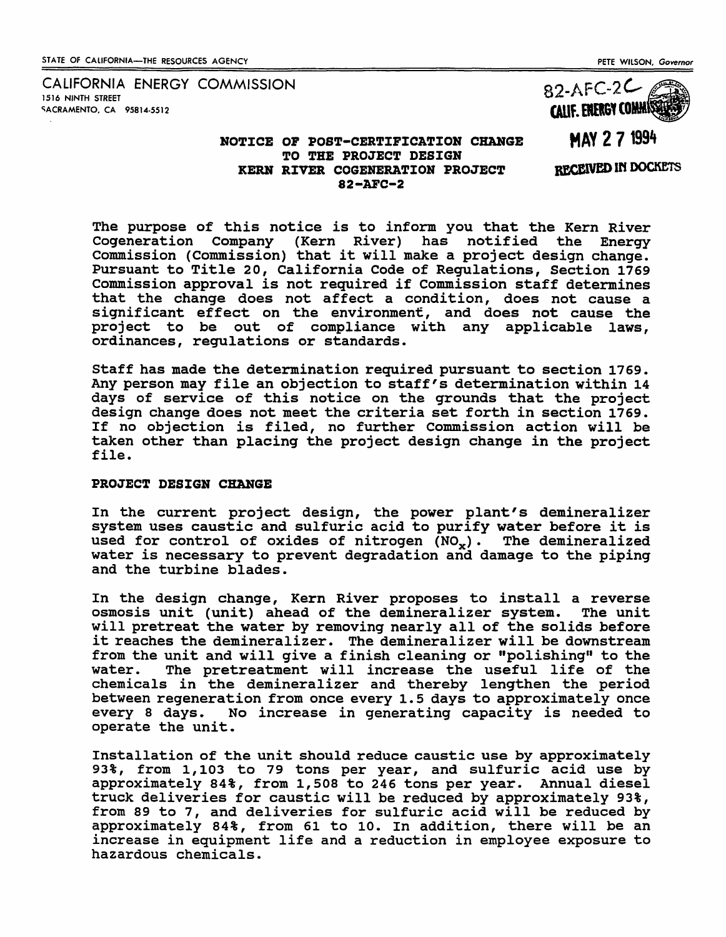CALIFORNIA ENERGY COMMISSION 1516 NINTH STREET **SACRAMENTO, CA 95814-5512** 

#### PETE WILSON. *Governor*

 $82-AFC-2C$ CALIF. ERERGY COMMIS

# NOTICE OF POST-CERTIFICATION CHANGE TO THE PROJECT DESIGN KERB RIVER COGEHERATION PROJECT 82-AFC-2

**MAY 271994** 

RECEIVED IN DOCKETS

The purpose of this notice is to inform you that the Kern River<br>Cogeneration Company (Kern River) has notified the Energy Cogeneration Company (Kern River) has notified commission (Commission) that it will make a project design change. Pursuant to Title 20, California Code of Regulations, Section 1769 Commission approval is not required if Commission staff determines that the change does not affect a condition, does not cause a significant effect on the environment, and does not cause the project to be out of compliance with any applicable laws, ordinances, regulations or standards.

Staff has made the determination required pursuant to section 1769. Any person may file an objection to staff's determination within 14 days of service of this notice on the grounds that the project design change does not meet the criteria set forth in section 1769. If no objection is filed, no further Commission action will be taken other than placing the project design change in the project file.

#### PROJECT DESIGN CHANGE

In the current project design, the power plant's demineralizer system uses caustic and sulfuric acid to purify water before it is used for control of oxides of nitrogen  $(NO_x)$ . The demineralized water is necessary to prevent degradation and damage to the piping and the turbine blades.

In the design change, Kern River proposes to install a reverse<br>osmosis unit (unit) ahead of the demineralizer system. The unit osmosis unit (unit) ahead of the demineralizer system. will pretreat the water by removing nearly all of the solids before it reaches the demineralizer. The demineralizer will be downstream from the unit and will give a finish cleaning or "polishing" to the water. The pretreatment will increase the useful life of the The pretreatment will increase the useful life of the chemicals in the demineralizer and thereby lengthen the period between regeneration from once every 1.5 days to approximately once<br>every 8 days. No increase in generating capacity is needed to No increase in generating capacity is needed to operate the unit.

Installation of the unit should reduce caustic use by approximately 93%, from 1, 103 to 79 tons per year, and sulfuric acid use by approximately 84%, from 1,508 to 246 tons per year. Annual diesel truck deliveries for caustic will be reduced by approximately 93%, from 89 to 7, and deliveries for sulfuric acid will be reduced by approximately 84%, from 61 to 10. In addition, there will be an increase in equipment life and a reduction in employee exposure to hazardous chemicals.

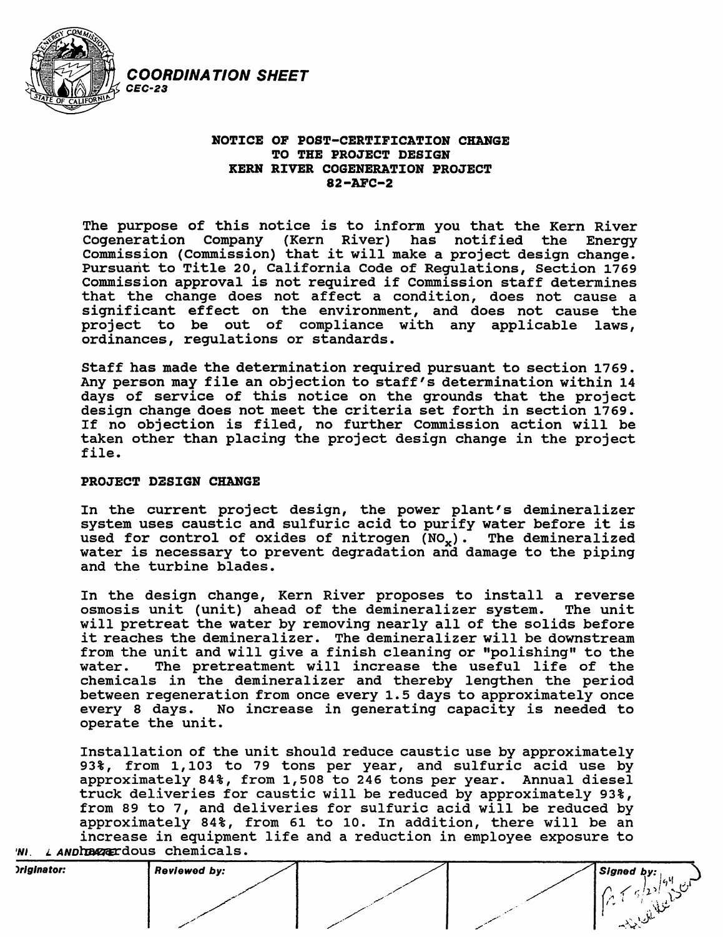

# NOTICE OF POST-CERTIFICATION CHANGE TO THE PROJECT DESIGN KERN RiVER COGENERATiON PROJECT 82-AFC-2

The purpose of this notice is to inform you that the Kern River<br>Cogeneration Company (Kern River) has notified the Energy Cogeneration Company (Kern River) has notified Commission (Commission) that it will make a project design change. Pursuant to Title 20, California Code of Regulations, Section 1769 Commission approval is not required if Commission staff determines that the change does not affect a condition, does not cause a significant effect on the environment, and does not cause the project to be out of compliance with any applicable laws, ordinances, regulations or standards.

Staff has made the determination required pursuant to section 1769. Any person may file an objection to staff's determination within 14 days of service of this notice on the grounds that the project design change does not meet the criteria set forth in section 1769. If no objection is filed, no further Commission action will be taken other than placing the project design change in the project file.

# PROJECT D2SiGN CHANGE

COORDINATION SHEET

In the current project design, the power plant's demineralizer system uses caustic and sulfuric acid to purify water before it is used for control of oxides of nitrogen  $(NO_{\nu})$ . The demineralized water is necessary to prevent degradation and damage to the piping and the turbine blades.

In the design change, Kern River proposes to install a reverse osmosis unit (unit) ahead of the demineralizer system. The unit will pretreat the water by removing nearly all of the solids before it reaches the demineralizer. The demineralizer will be downstream from the unit and will give a finish cleaning or "polishing" to the water. The pretreatment will increase the useful life of the The pretreatment will increase the useful life of the chemicals in the demineralizer and thereby lengthen the period between regeneration from once every 1.5 days to approximately once every 8 days. No increase in generating capacity is needed to operate the unit.

Installation of the unit should reduce caustic use by approximately 93%, from 1, 103 to 79 tons per year, and sulfuric acid use by approximately 84%, from 1,508 to 246 tons per year. Annual diesel truck deliveries for caustic will be reduced by approximately 93%, from 89 to 7, and deliveries for sulfuric acid will be reduced by approximately 84%, from 61 to 10. In addition, there will be an increase in equipment life and a reduction in employee exposure to 'NI. LANDIDE RECOUS Chemicals.

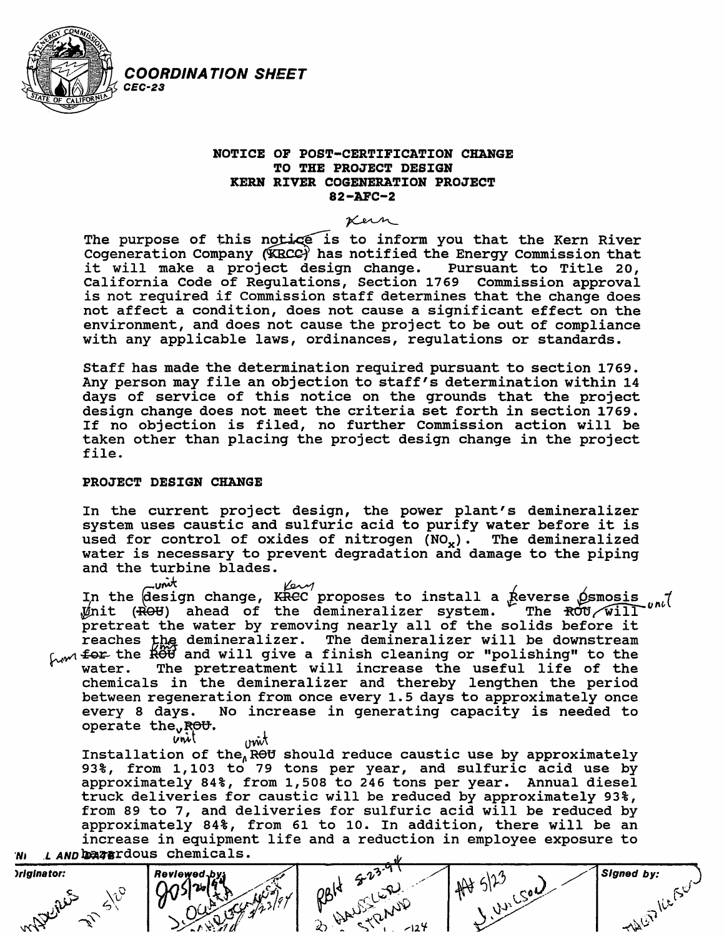

# NOTICE OF POST-CERTIFICATION CHANGE TO THE PROJECT DESIGN KERN RIVER COGENERATION PROJECT 82-AFC-2 -AFC-2<br>Kern<br>to inform us

The purpose of this notice is to inform you that the Kern River Cogeneration Company (KRCC) has notified the Energy Commission that it will make a project design change. Pursuant to Title 20, California Code of Regulations, Section 1769 commission approval is not required if Commission staff determines that the change does not affect a condition, does not cause a significant effect on the environment, and does not cause the project to be out of compliance with any applicable laws, ordinances, regulations or standards.

Staff has made the determination required pursuant to section 1769. Any person may file an objection to staff's determination within 14 days of service of this notice on the grounds that the project design change does not meet the criteria set forth in section 1769. If no objection is filed, no further Commission action will be taken other than placing the project design change in the project file.

## PROJECT DESIGN CHANGE

COORDINATION SHEET

In the current project design, the power plant's demineralizer system uses caustic and sulfuric acid to purify water before it is used for control of oxides of nitrogen  $(NO_x)$ . The demineralized water is necessary to prevent degradation and damage to the piping and the turbine blades.<br> $\overrightarrow{L}$ 

r: The the design change, KREC proposes to install a Reverse Osmosis<br>Init (ROU) ahead of the demineralizer system. The ROU/Will pretreat the water by removing nearly all of the solids before it reaches the demineralizer. The demineralizer will be downstream  $\sim$   $\sim$   $\sim$  the  $\rm \ddot{R}$  and will give a finish cleaning or "polishing" to the water. The pretreatment will increase the useful life of the The pretreatment will increase the useful life of the chemicals in the demineralizer and thereby lengthen the period between regeneration from once every 1.5 days to approximately once<br>every 8 days. No increase in generating capacity is needed to No increase in generating capacity is needed to operate the ROU.<br>vill

v $\dot{w}$  wit  $\overrightarrow{w}$  or  $\dot{v}$  and  $\dot{v}$  should reduce caustic use by approximately 115 carracion or enc<sub>atio</sub> bhoura readed cadoric doc by approximately approximately 84%, from 1,508 to 246 tons per year. Annual diesel truck deliveries for caustic will be reduced by approximately 93%, from 89 to 7, and deliveries for sulfuric acid will be reduced by approximately 84%, from 61 to 10. In addition, there will be an increase in equipment life and a reduction in employee exposure to 'N<sub>I</sub> .L AND DEATErdous chemicals.

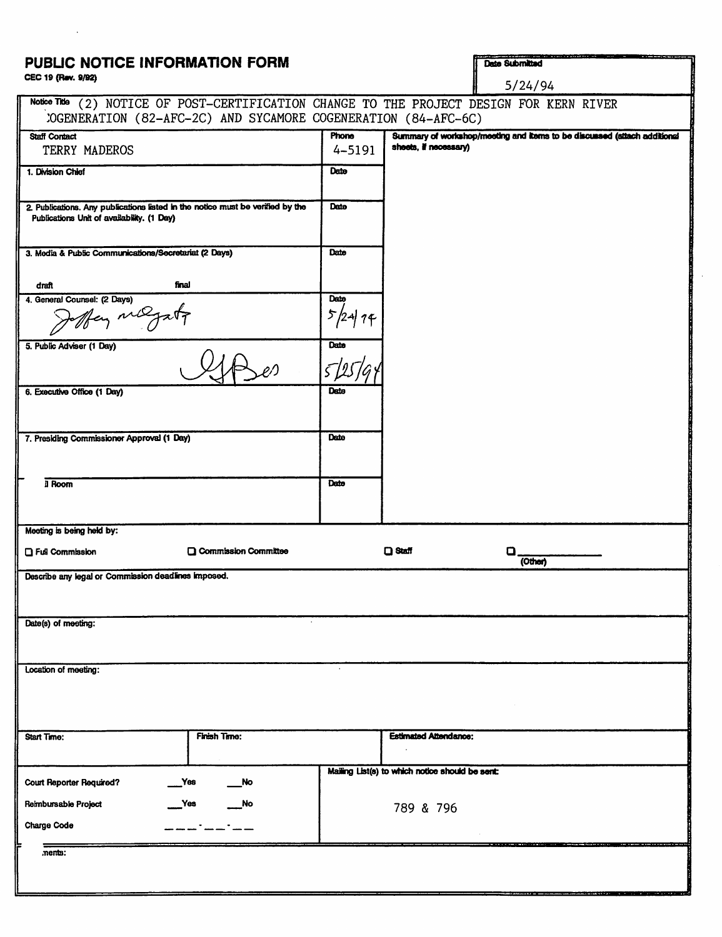# PUBLIC NOTICE INFORMATION FORM CEC 19 (Rev. 9/92)

Date Submitted

| CEC 19 (Rev. 9/92)                                                                                                           |                        |            |                              | 5/24/94                                                                      |
|------------------------------------------------------------------------------------------------------------------------------|------------------------|------------|------------------------------|------------------------------------------------------------------------------|
| Notice Title<br>:OGENERATION (82-AFC-2C) AND SYCAMORE COGENERATION (84-AFC-6C)                                               |                        |            |                              | (2) NOTICE OF POST-CERTIFICATION CHANGE TO THE PROJECT DESIGN FOR KERN RIVER |
| <b>Staff Contact</b>                                                                                                         |                        | Phone      |                              | Summary of workshop/meeting and items to be discussed (attach additional     |
| TERRY MADEROS                                                                                                                |                        | $4 - 5191$ | sheets, if necessary)        |                                                                              |
| 1. Division Chief                                                                                                            |                        | Date       |                              |                                                                              |
| 2. Publications. Any publications listed in the notice must be verified by the<br>Publications Unit of availability. (1 Day) |                        | Date       |                              |                                                                              |
| 3. Media & Public Communications/Secretariat (2 Days)                                                                        |                        | Date       |                              |                                                                              |
| final<br>draft                                                                                                               |                        |            |                              |                                                                              |
| 4. General Counsel: (2 Days)<br>fay mayat                                                                                    |                        | Date<br>5, |                              |                                                                              |
| 5. Public Adviser (1 Day)                                                                                                    |                        | Date       |                              |                                                                              |
| 6. Executive Office (1 Day)                                                                                                  |                        | Date       |                              |                                                                              |
| 7. Presiding Commissioner Approval (1 Day)                                                                                   |                        | Date       |                              |                                                                              |
| il Room                                                                                                                      |                        | Dato       |                              |                                                                              |
| Meeting is being held by:                                                                                                    |                        |            |                              |                                                                              |
| □ Full Commission                                                                                                            | □ Commission Committee |            | <b>D</b> Staff               | o<br>(Other)                                                                 |
| Describe any legal or Commission deadlines imposed.                                                                          |                        |            |                              |                                                                              |
| Date(s) of meeting:                                                                                                          |                        |            |                              |                                                                              |
| Location of meeting:                                                                                                         |                        |            |                              |                                                                              |
|                                                                                                                              |                        |            |                              |                                                                              |
| Start Time:                                                                                                                  | <b>Finish Time:</b>    |            | <b>Estimated Attendance:</b> |                                                                              |
|                                                                                                                              |                        |            |                              |                                                                              |

Maling Ust(a) to which nodco should be aont:

789 & 796

 $Y$ es

\_Yea \_No

\_\_\_\_\_\_\_\_\_\_

 $\overline{\phantom{a}}$ No

Court Reporter Required? Reimbursable Project

Charge Code

.nents:

: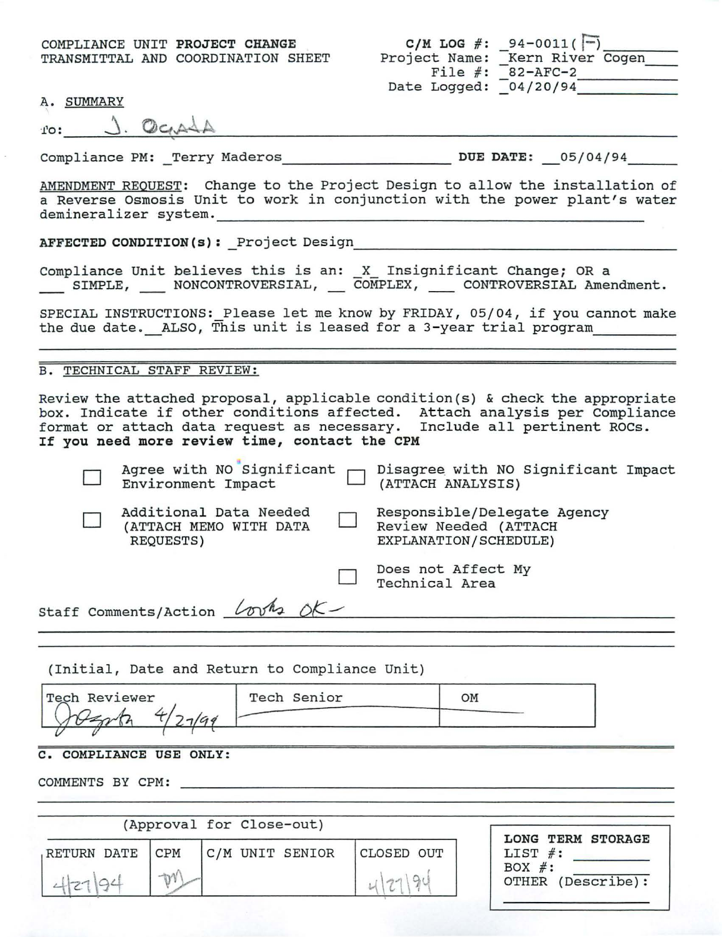COMPLIANCE UNIT **PROJECT CHANGE**  TRANSMITTAL AND COORDINATION SHEET

| $C/M$ LOG $#$ : | $94 - 0011( - )$ |
|-----------------|------------------|
| Project Name:   | Kern River Cogen |
| File $#$ :      | $82 - AFC - 2$   |
| Date Logged:    | 04/20/94         |

A. SUMMARY

| $\cdot$ $\cdot$ $\cdot$ | m<br>$\mathcal{U} \subset \mathcal{A}$ |  |
|-------------------------|----------------------------------------|--|
|                         |                                        |  |

Compliance PM: \_Terry Maderos \_\_\_\_\_\_\_\_\_\_\_\_\_\_\_\_\_\_\_\_\_\_ DUE DATE: 05/04/94

AMENDMENT REQUEST: Change to the Project Design to allow the installation of a Reverse Osmosis Unit to work in conjunction with the power plant's water demineralizer system. --------------------------- **AFFECTED CONDITION(s):** \_Project Design \_\_\_\_\_\_\_\_\_\_\_\_\_\_\_\_\_\_\_\_ \_

Compliance Unit believes this is an: X Insignificant Change; OR a SIMPLE, NONCONTROVERSIAL, COMPLEX, CONTROVERSIAL Amendment.

SPECIAL INSTRUCTIONS: Please let me know by FRIDAY, 05/04, if you cannot make the due date. ALSO, This unit is leased for a 3-year trial program

B. TECHNICAL STAFF REVIEW:

Review the attached proposal, applicable condition(s) & check the appropriate box. Indicate if other conditions affected. Attach analysis per Compliance format or attach data request as necessary. Include all pertinent ROCs. **If you need more review time, contact the CPM** 

|  |                                                               |  | Agree with NO Significant $\Box$ Disagree with NO Significant Impact<br>Environment Impact $\Box$ (ATTACH ANALYSIS) |  |
|--|---------------------------------------------------------------|--|---------------------------------------------------------------------------------------------------------------------|--|
|  | Additional Data Needed<br>(ATTACH MEMO WITH DATA<br>REQUESTS) |  | Responsible/Delegate Agency<br>Review Needed (ATTACH<br>EXPLANATION/SCHEDULE)                                       |  |
|  |                                                               |  | Does not Affect My<br>Technical Area                                                                                |  |
|  | Staff Comments/Action $l$ ovk <sub>2</sub> oK-                |  |                                                                                                                     |  |

|               | (Initial, Date and Return to Compliance Unit) |    |
|---------------|-----------------------------------------------|----|
| Tech Reviewer | Tech Senior                                   | OМ |
|               |                                               |    |

## **C. COMPLIANCE USE ONLY:**

|             | (Approval for Close-out) |  |                 |            |                                                                      |
|-------------|--------------------------|--|-----------------|------------|----------------------------------------------------------------------|
| RETURN DATE | <b>CPM</b>               |  | C/M UNIT SENIOR | CLOSED OUT | LONG TERM STORAGE<br>LIST $#$ :<br>BOX $#$ :<br>(Describe):<br>OTHER |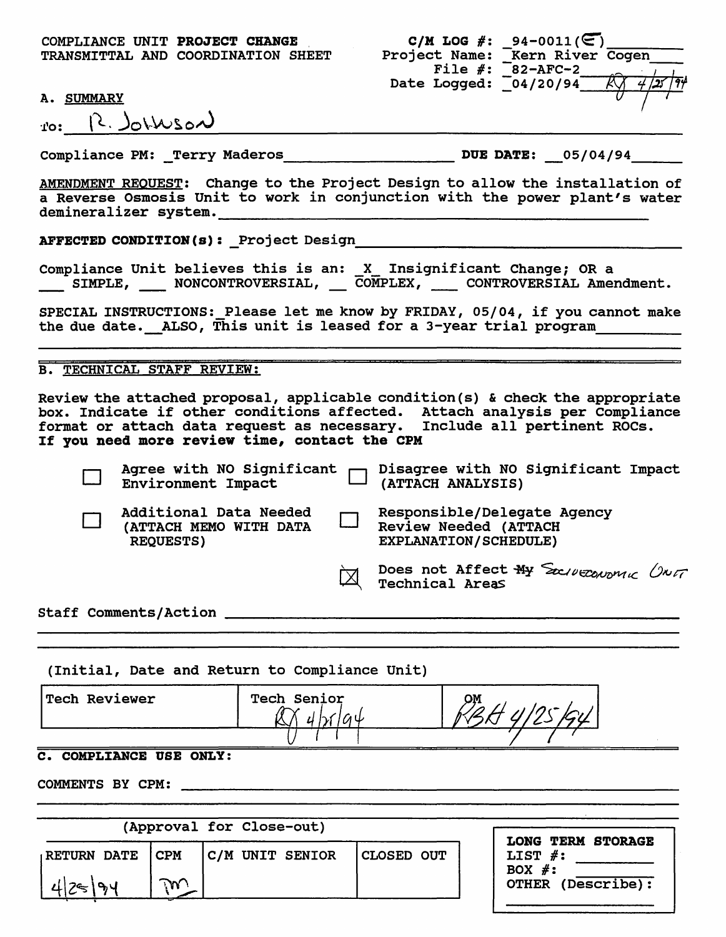COMPLIANCE UNIT PROJECT CHANGE TRANSMITTAL AND COORDINATION SHEET

|                       | C/M LOG #: 94-0011( $\textcircled{F}$ ) |
|-----------------------|-----------------------------------------|
| Project Name:         | Kern River Cogen                        |
| File $#$ :            | $82 - AFC - 2$                          |
| Date Logged: 04/20/94 |                                         |
|                       |                                         |
|                       |                                         |

A. SUMMARY

*ro:* <u>R. Johnson</u>

Compliance PM: Terry Maderos \_\_\_\_\_\_\_\_\_\_\_\_\_ DUE DATE: 05/04/94

AMENDMENT REQUEST: Change to the Project Design to allow the installation of a Reverse Osmosis Unit to work in conjunction with the power plant's water demineralizer system.

AFFECTED CONDZTZON(s): \_Project Design \_\_\_\_\_\_\_\_\_\_\_\_\_\_\_\_\_\_\_\_\_\_\_\_\_\_\_\_\_\_\_\_\_\_\_ \_

Compliance Unit believes this is an: X Insignificant Change; OR a -- SIMPLE,  $\_\_\_\_\_\$  NONCONTROVERSIAL,  $\_\_\_\_\_\_\$  CONTROVERSIAL Amendment.

SPECIAL INSTRUCTIONS: Please let me know by FRIDAY, 05/04, if you cannot make the due date. ALSO, This unit is leased for a 3-year trial program

B. TECHNICAL STAFF REVIEW:

Review the attached proposal, applicable condition(s) & check the appropriate box. Indicate if other conditions affected. Attach analysis per Compliance format or attach data request as necessary. Include all pertinent ROCs. If you need more review time, contact the CPM

|  |                                                                      | Agree with NO Significant Disagree with NO Significant Impact<br>Environment Impact Dartach ANALYSIS) |
|--|----------------------------------------------------------------------|-------------------------------------------------------------------------------------------------------|
|  | Additional Data Needed<br>(ATTACH MEMO WITH DATA<br><b>REQUESTS)</b> | Responsible/Delegate Agency<br>Review Needed (ATTACH<br><b>EXPLANATION/SCHEDULE)</b>                  |
|  |                                                                      | Does not Affect My Socroeonal ONT                                                                     |
|  | <b>Staff Comments/Action</b>                                         |                                                                                                       |

(Initial, Date and Return to Compliance Unit)

| Tech Reviewer | <b>Tech Senior</b> | OМ<br>i saman |
|---------------|--------------------|---------------|
|               |                    |               |

# C. COMPLZANCE USE ONLY:

|                                      |                  | (Approval for Close-out) |            | <b>LONG TERM STORAGE</b>                     |
|--------------------------------------|------------------|--------------------------|------------|----------------------------------------------|
| <b>RETURN DATE</b><br>$\sim$<br>125' | ICPM<br>$\gamma$ | <b>C/M UNIT SENIOR</b>   | CLOSED OUT | LIST $#$ :<br>BOX $#$ :<br>OTHER (Describe): |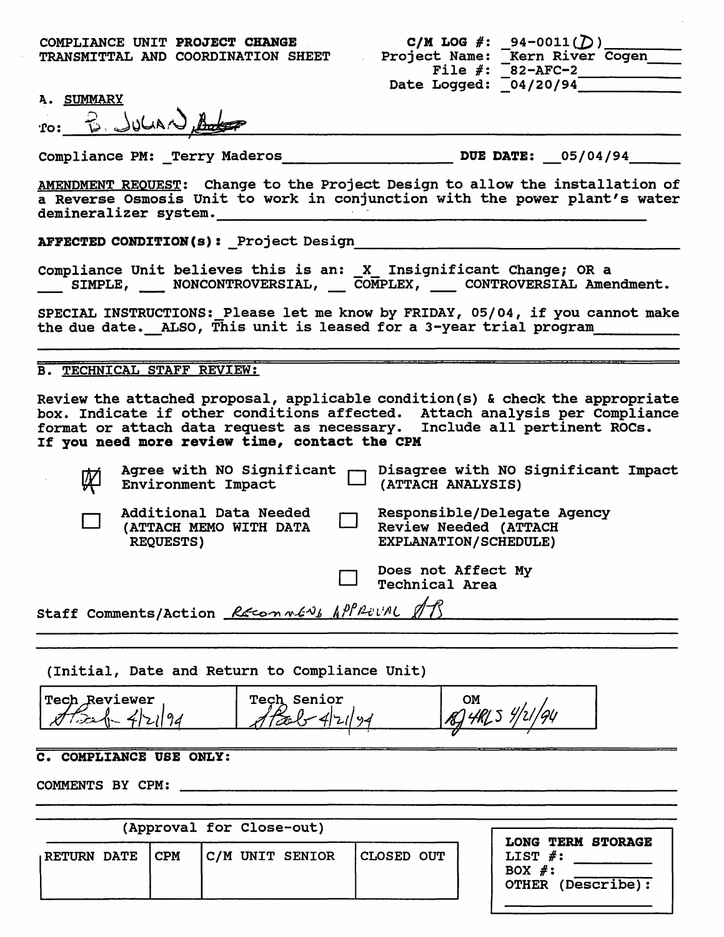| C/M LOG $#$ : | $94 - 0011$ (D)                    |
|---------------|------------------------------------|
| Project Name: | Kern River Cogen                   |
|               | File $\#$ : $\sqrt{-82 - AFC - 2}$ |
| Date Logged:  | 04/20/94                           |

A. SUMMARY

| ∙ro∙ | B. JULIAN Boto |  |
|------|----------------|--|
|      |                |  |

Compliance PM: \_Terry Maderos\_\_\_\_\_\_\_\_\_\_\_\_\_\_\_\_\_\_\_\_\_\_\_\_DUE DATE: 05/04/94

AMENDMENT REQUEST: Change to the Project Design to allow the installation of a Reverse Osmosis Unit to work in conjunction with the power plant's water demineralizer system.

**AFFECTED CONDITION(s):** Project Design

Compliance Unit believes this is an: X Insignificant Change; OR a<br>SIMPLE, MONCONTROVERSIAL, COMPLEX, CONTROVERSIAL Amendment.

SPECIAL INSTRUCTIONS: Please let me know by FRIDAY, 05/04, if you cannot make the due date. ALSO, This unit is leased for a 3-year trial program

# B. TECHNICAL STAFF REVIEW:

Review the attached proposal, applicable condition(s) & check the appropriate box. Indicate if other conditions affected. Attach analysis per Compliance format or attach data request as necessary. Include all pertinent ROCs. If you need more review time, contact the CPM

| 网 |                                                                      | Agree with NO Significant Disagree with NO Significant Impact<br>Environment Impact [1] (ATTACH ANALYSIS) |
|---|----------------------------------------------------------------------|-----------------------------------------------------------------------------------------------------------|
|   | Additional Data Needed<br>(ATTACH MEMO WITH DATA<br><b>REQUESTS)</b> | Responsible/Delegate Agency<br><b>Review Needed (ATTACH</b><br>EXPLANATION/SCHEDULE)                      |
|   |                                                                      | <b>Does not Affect My<br/>Technical Area</b>                                                              |
|   | Staff Comments/Action Reconners APPROVAL 13                          |                                                                                                           |

(Initial, Date and Return to Compliance Unit)

Tech Reviewer Tech Senior OM B 4RL 5 4/21/94  $\approx$  1-4 Tach

# C. COMPLZANCE USE ONLY:

|                    | (Approval for Close-out) | <b>LONG TERM STORAGE</b> |                   |  |                                                         |
|--------------------|--------------------------|--------------------------|-------------------|--|---------------------------------------------------------|
| <b>RETURN DATE</b> | ICPM                     | C/M UNIT SENIOR          | <b>CLOSED OUT</b> |  | LIST $\#$ :<br>BOX $#$ :<br>(Describe):<br><b>OTHER</b> |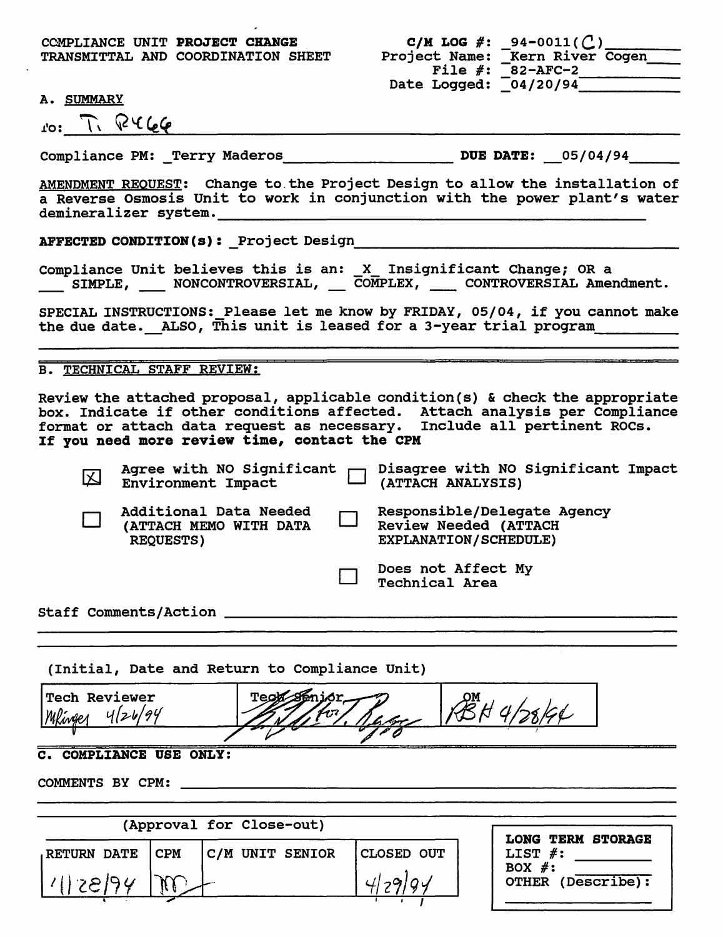CCMPLIANCE UNIT PROJECT CHANGE TRANSMITTAL AND COORDINATION SHEET

|               | C/M LOG #: $94-0011($ () |
|---------------|--------------------------|
| Project Name: | Kern River Cogen         |
| File $#$ :    | $82 - AFC - 2$           |
| Date Logged:  | $\sqrt{04/20/94}$        |

## A. SUMMARY

 $10: 7. 10466$ 

Compliance PM: \_Terry Maderos \_\_\_\_\_\_\_\_\_\_ DUE DATE: \_05/04/94 \_\_ \_

AMENDMENT REQUEST: Change to the Project Design to allow the installation of a Reverse Osmosis Unit to work in conjunction with the power plant's water demineralizer system. ----------------------------- ~FECTEDCO~ITI~(s):~rojectDesign \_\_\_\_\_\_\_\_\_\_\_\_\_\_\_\_\_\_\_ <sup>~</sup>

compliance Unit believes this is an: \_x\_ Insignificant Change; OR a SIMPLE, NONCONTROVERSIAL, COMPLEX, CONTROVERSIAL Amendment.

SPECIAL INSTRUCTIONS: Please let me know by FRIDAY, 05/04, if you cannot make the due date. ALSO, This unit is leased for a 3-year trial program

B. TECHNICAL STAFF REVIEW:

Review the attached proposal, applicable condition(s) & check the appropriate box. Indicate if other conditions affected. Attach analysis per Compliance format or attach data request as necessary. Include all pertinent ROCs. If you need more review time, contact the CPM

| 囚 |                                                                      | Agree with NO Significant Disagree with NO Significant Impact<br>Environment Impact (ATTACH ANALYSIS) |
|---|----------------------------------------------------------------------|-------------------------------------------------------------------------------------------------------|
|   | Additional Data Needed<br>(ATTACH MEMO WITH DATA<br><b>REQUESTS)</b> | Responsible/Delegate Agency<br><b>Review Needed (ATTACH</b><br>EXPLANATION/SCHEDULE)                  |
|   |                                                                      | Does not Affect My<br><b>Technical Area</b>                                                           |
|   | <b>Staff Comments/Action</b>                                         |                                                                                                       |

(Initial, Date and Return to Compliance Unit)

Tech Reviewer PBH 4/28/44  $4/24/$ 

# C. COMPLIANCE USE ONLY:

|                    |      | (Approval for Close-out) |                              |                                                                                    |
|--------------------|------|--------------------------|------------------------------|------------------------------------------------------------------------------------|
| <b>RETURN DATE</b> | ICPM | C/M UNIT SENIOR          | <b>CLOSED OUT</b><br>4129104 | <b>LONG TERM STORAGE</b><br>LIST $#$ :<br>BOX $#$ :<br>(Describe):<br><b>OTHER</b> |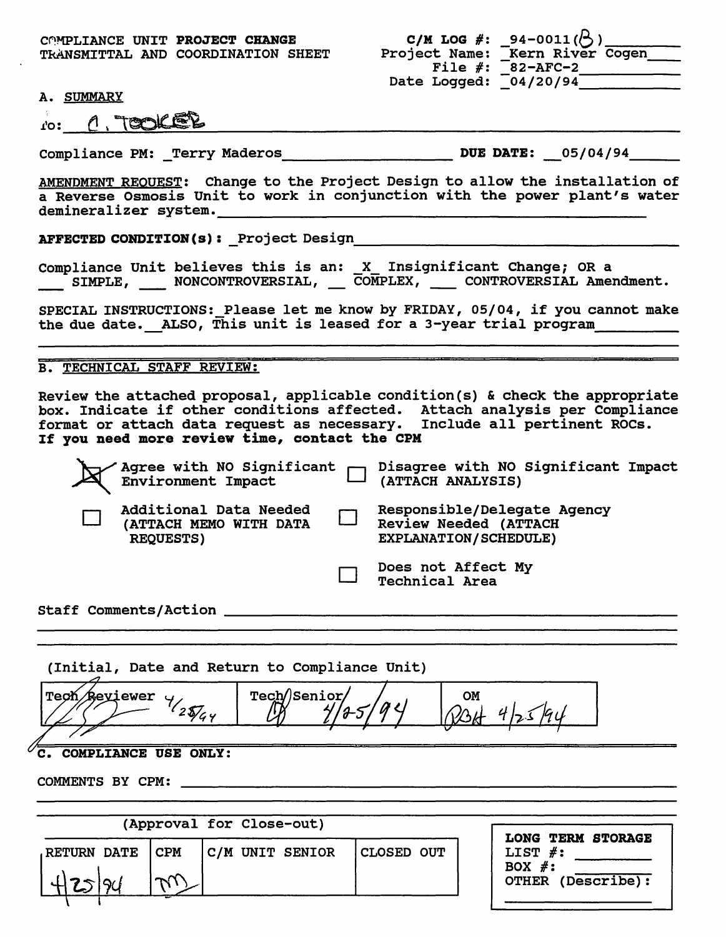C0MPLIANCE UNIT PROJECT CHANGE TkANSMITTAL AND COORDINATION SHEET

|               | C/M LOG #: _94-0011( $\left\langle \right\rangle$ ) |
|---------------|-----------------------------------------------------|
| Project Name: | Kern River Cogen                                    |
| File $#$ :    | <b>82-AFC-2</b>                                     |
| Date Logged:  | $\sqrt{04/20/94}$                                   |

A. SUMMARY

|     | A. SUMMARY |  |
|-----|------------|--|
| ro: | A, TOOKER  |  |

compliance PM: Terry Maderos \_\_\_\_\_\_\_\_\_\_ DUE DATE: \_05/04/94 \_\_ \_

AMENDMENT REQUEST: Change to the Project Design to allow the installation of a Reverse Osmosis Unit to work in conjunction with the power plant's water demineralizer system. ------------------------- llFECTEDC~ITI~(s):yrojectDesign \_\_\_\_\_\_\_\_\_\_\_\_\_\_\_\_\_\_ <sup>~</sup>

Compliance Unit believes this is an: \_X\_ Insignificant Change; OR a<br>\_\_\_\_ SIMPLE, \_\_\_\_ NONCONTROVERSIAL, \_\_\_ COMPLEX, \_\_\_\_ CONTROVERSIAL Amendment.

SPECIAL INSTRUCTIONS: Please let me know by FRIDAY, 05/04, if you cannot make the due date. ALSO, This unit is leased for a 3-year trial program

## B. TECHNICAL STAFF REVIEW:

Review the attached proposal, applicable condition(s) & check the appropriate box. Indicate if other conditions affected. Attach analysis per Compliance format or attach data request as necessary. Include all pertinent ROCs. If you need more review time, contact the CPM

|                                                                      | Agree with NO Significant   Disagree with NO Significant Impact<br>Environment Impact   (ATTACH ANALYSIS) |  |
|----------------------------------------------------------------------|-----------------------------------------------------------------------------------------------------------|--|
| Additional Data Needed<br>(ATTACH MEMO WITH DATA<br><b>REQUESTS)</b> | Responsible/Delegate Agency<br><b>Review Needed (ATTACH</b><br>EXPLANATION/SCHEDULE)                      |  |
|                                                                      | Does not Affect My<br><b>Technical Area</b>                                                               |  |
| <b>Staff Comments/Action</b>                                         |                                                                                                           |  |

|  |  |  | (Initial, Date and Return to Compliance Unit) |  |
|--|--|--|-----------------------------------------------|--|
|  |  |  |                                               |  |

Tech/Senior ewer  $\frac{1}{2}$ OM  $2\sqrt[3]{44}$ 

#### COMPLIANCE USE ONLY:  $\overline{\mathbf{c}}$ .

| <b>LONG TERM STORAGE</b><br>LIST $#$ :<br>BOX $\#$ :<br>$(Describe)$ :<br><b>OTHER</b> |
|----------------------------------------------------------------------------------------|
|                                                                                        |